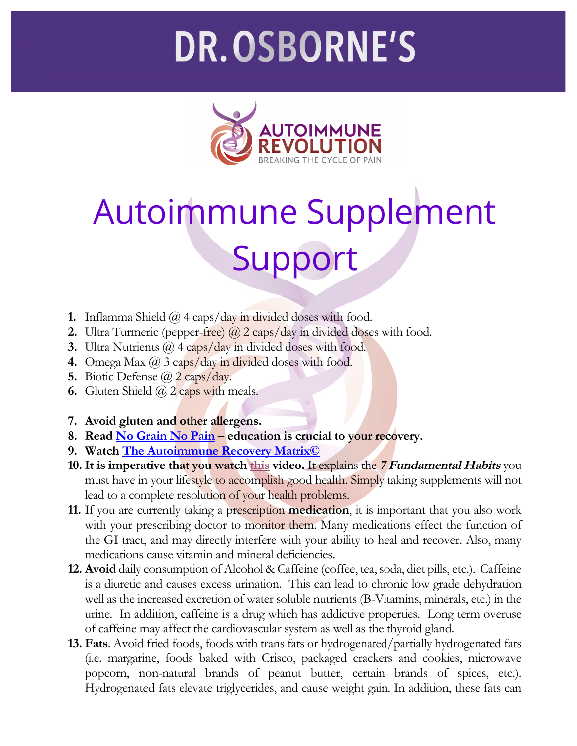## **DR.OSBORNE'S**



## Autoimmune Supplement Support

- **1.** Inflamma Shield @ 4 caps/day in divided doses with food.
- **2.** Ultra Turmeric (pepper-free) @ 2 caps/day in divided doses with food.
- **3.** Ultra Nutrients @ 4 caps/day in divided doses with food.
- **4.** Omega Max @ 3 caps/day in divided doses with food.
- **5.** Biotic Defense @ 2 caps/day.
- **6.** Gluten Shield  $\overline{a}$  2 caps with meals.
- **7. Avoid gluten and other allergens.**
- **8. Read No Grain No Pain – education is crucial to your recovery.**
- **9. Watch The Autoimmune Recovery Matrix©**
- **10. It is imperative that you watch this video.** It explains the **7 Fundamental Habits** you must have in your lifestyle to accomplish good health. Simply taking supplements will not lead to a complete resolution of your health problems.
- **11.** If you are currently taking a prescription **medication**, it is important that you also work with your prescribing doctor to monitor them. Many medications effect the function of the GI tract, and may directly interfere with your ability to heal and recover. Also, many medications cause vitamin and mineral deficiencies.
- **12. Avoid** daily consumption of Alcohol & Caffeine (coffee, tea, soda, diet pills, etc.). Caffeine is a diuretic and causes excess urination. This can lead to chronic low grade dehydration well as the increased excretion of water soluble nutrients (B-Vitamins, minerals, etc.) in the urine. In addition, caffeine is a drug which has addictive properties. Long term overuse of caffeine may affect the cardiovascular system as well as the thyroid gland.
- **13. Fats**. Avoid fried foods, foods with trans fats or hydrogenated/partially hydrogenated fats (i.e. margarine, foods baked with Crisco, packaged crackers and cookies, microwave popcorn, non-natural brands of peanut butter, certain brands of spices, etc.). Hydrogenated fats elevate triglycerides, and cause weight gain. In addition, these fats can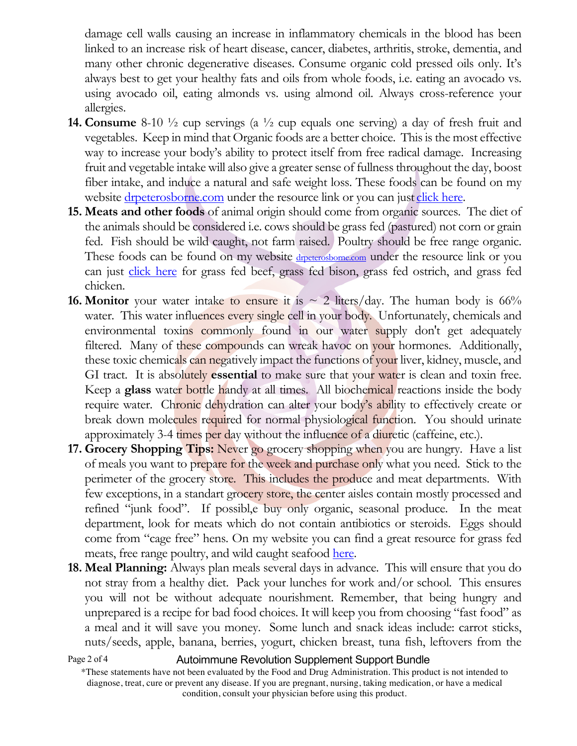damage cell walls causing an increase in inflammatory chemicals in the blood has been linked to an increase risk of heart disease, cancer, diabetes, arthritis, stroke, dementia, and many other chronic degenerative diseases. Consume organic cold pressed oils only. It's always best to get your healthy fats and oils from whole foods, i.e. eating an avocado vs. using avocado oil, eating almonds vs. using almond oil. Always cross-reference your allergies.

- **14. Consume** 8-10 ½ cup servings (a ½ cup equals one serving) a day of fresh fruit and vegetables. Keep in mind that Organic foods are a better choice. This is the most effective way to increase your body's ability to protect itself from free radical damage. Increasing fruit and vegetable intake will also give a greater sense of fullness throughout the day, boost fiber intake, and induce a natural and safe weight loss. These foods can be found on my website drpeterosborne.com under the resource link or you can just click here.
- **15. Meats and other foods** of animal origin should come from organic sources. The diet of the animals should be considered i.e. cows should be grass fed (pastured) not corn or grain fed. Fish should be wild caught, not farm raised. Poultry should be free range organic. These foods can be found on my website dreterosborne.com under the resource link or you can just click here for grass fed beef, grass fed bison, grass fed ostrich, and grass fed chicken.
- **16. Monitor** your water intake to ensure it is  $\sim$  2 liters/day. The human body is 66% water. This water influences every single cell in your body. Unfortunately, chemicals and environmental toxins commonly found in our water supply don't get adequately filtered. Many of these compounds can wreak havoc on your hormones. Additionally, these toxic chemicals can negatively impact the functions of your liver, kidney, muscle, and GI tract. It is absolutely **essential** to make sure that your water is clean and toxin free. Keep a **glass** water bottle handy at all times. All biochemical reactions inside the body require water. Chronic dehydration can alter your body's ability to effectively create or break down molecules required for normal physiological function. You should urinate approximately 3-4 times per day without the influence of a diuretic (caffeine, etc.).
- **17. Grocery Shopping Tips:** Never go grocery shopping when you are hungry. Have a list of meals you want to prepare for the week and purchase only what you need. Stick to the perimeter of the grocery store. This includes the produce and meat departments. With few exceptions, in a standart grocery store, the center aisles contain mostly processed and refined "junk food". If possibl,e buy only organic, seasonal produce. In the meat department, look for meats which do not contain antibiotics or steroids. Eggs should come from "cage free" hens. On my website you can find a great resource for grass fed meats, free range poultry, and wild caught seafood here.
- **18. Meal Planning:** Always plan meals several days in advance. This will ensure that you do not stray from a healthy diet. Pack your lunches for work and/or school. This ensures you will not be without adequate nourishment. Remember, that being hungry and unprepared is a recipe for bad food choices. It will keep you from choosing "fast food" as a meal and it will save you money. Some lunch and snack ideas include: carrot sticks, nuts/seeds, apple, banana, berries, yogurt, chicken breast, tuna fish, leftovers from the

```
Page 2 of 4
```
Autoimmune Revolution Supplement Support Bundle

<sup>\*</sup>These statements have not been evaluated by the Food and Drug Administration. This product is not intended to diagnose, treat, cure or prevent any disease. If you are pregnant, nursing, taking medication, or have a medical condition, consult your physician before using this product.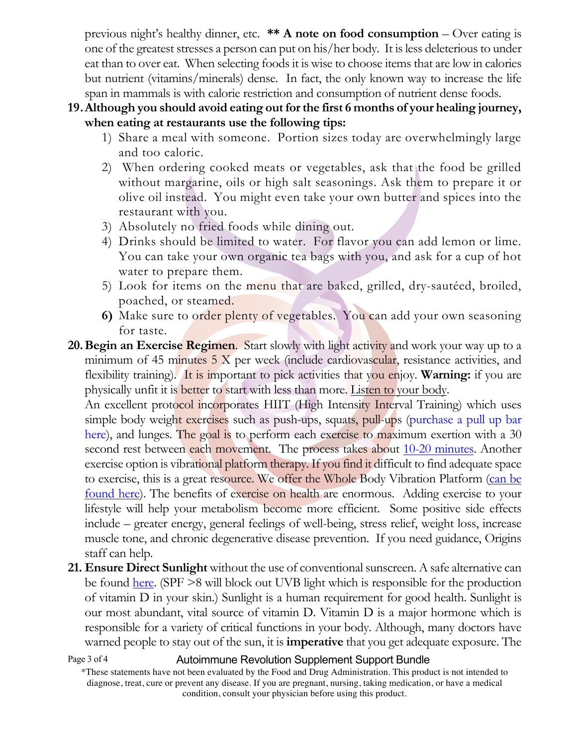previous night's healthy dinner, etc. **\*\* A note on food consumption** – Over eating is one of the greatest stresses a person can put on his/her body. It is less deleterious to under eat than to over eat. When selecting foods it is wise to choose items that are low in calories but nutrient (vitamins/minerals) dense. In fact, the only known way to increase the life span in mammals is with calorie restriction and consumption of nutrient dense foods.

- **19.Although you should avoid eating out for the first 6 months of your healing journey, when eating at restaurants use the following tips:**
	- 1) Share a meal with someone. Portion sizes today are overwhelmingly large and too caloric.
	- 2) When ordering cooked meats or vegetables, ask that the food be grilled without margarine, oils or high salt seasonings. Ask them to prepare it or olive oil instead. You might even take your own butter and spices into the restaurant with you.
	- 3) Absolutely no fried foods while dining out.
	- 4) Drinks should be limited to water. For flavor you can add lemon or lime. You can take your own organic tea bags with you, and ask for a cup of hot water to prepare them.
	- 5) Look for items on the menu that are baked, grilled, dry-sautéed, broiled, poached, or steamed.
	- **6)** Make sure to order plenty of vegetables. You can add your own seasoning for taste.
- **20.Begin an Exercise Regimen**. Start slowly with light activity and work your way up to a minimum of 45 minutes  $5 \times$  per week (include cardiovascular, resistance activities, and flexibility training). It is important to pick activities that you enjoy. **Warning:** if you are physically unfit it is better to start with less than more. Listen to your body.

An excellent protocol incorporates HIIT (High Intensity Interval Training) which uses simple body weight exercises such as push-ups, squats, pull-ups (purchase a pull up bar here), and lunges. The goal is to perform each exercise to maximum exertion with a 30 second rest between each movement. The process takes about 10-20 minutes. Another exercise option is vibrational platform therapy. If you find it difficult to find adequate space to exercise, this is a great resource. We offer the Whole Body Vibration Platform (can be found here). The benefits of exercise on health are enormous. Adding exercise to your lifestyle will help your metabolism become more efficient. Some positive side effects include – greater energy, general feelings of well-being, stress relief, weight loss, increase muscle tone, and chronic degenerative disease prevention. If you need guidance, Origins staff can help.

**21. Ensure Direct Sunlight** without the use of conventional sunscreen. A safe alternative can be found here. (SPF >8 will block out UVB light which is responsible for the production of vitamin D in your skin.) Sunlight is a human requirement for good health. Sunlight is our most abundant, vital source of vitamin D. Vitamin D is a major hormone which is responsible for a variety of critical functions in your body. Although, many doctors have warned people to stay out of the sun, it is **imperative** that you get adequate exposure. The

Page 3 of 4

Autoimmune Revolution Supplement Support Bundle

<sup>\*</sup>These statements have not been evaluated by the Food and Drug Administration. This product is not intended to diagnose, treat, cure or prevent any disease. If you are pregnant, nursing, taking medication, or have a medical condition, consult your physician before using this product.